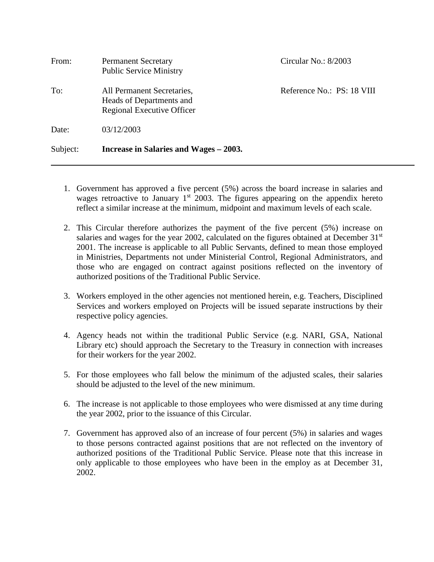| From:    | <b>Permanent Secretary</b><br><b>Public Service Ministry</b>                         | Circular No.: 8/2003       |
|----------|--------------------------------------------------------------------------------------|----------------------------|
| To:      | All Permanent Secretaries,<br>Heads of Departments and<br>Regional Executive Officer | Reference No.: PS: 18 VIII |
| Date:    | 03/12/2003                                                                           |                            |
| Subject: | Increase in Salaries and Wages – 2003.                                               |                            |

- 1. Government has approved a five percent (5%) across the board increase in salaries and wages retroactive to January  $1<sup>st</sup>$  2003. The figures appearing on the appendix hereto reflect a similar increase at the minimum, midpoint and maximum levels of each scale.
- 2. This Circular therefore authorizes the payment of the five percent (5%) increase on salaries and wages for the year 2002, calculated on the figures obtained at December  $31<sup>st</sup>$ 2001. The increase is applicable to all Public Servants, defined to mean those employed in Ministries, Departments not under Ministerial Control, Regional Administrators, and those who are engaged on contract against positions reflected on the inventory of authorized positions of the Traditional Public Service.
- 3. Workers employed in the other agencies not mentioned herein, e.g. Teachers, Disciplined Services and workers employed on Projects will be issued separate instructions by their respective policy agencies.
- 4. Agency heads not within the traditional Public Service (e.g. NARI, GSA, National Library etc) should approach the Secretary to the Treasury in connection with increases for their workers for the year 2002.
- 5. For those employees who fall below the minimum of the adjusted scales, their salaries should be adjusted to the level of the new minimum.
- 6. The increase is not applicable to those employees who were dismissed at any time during the year 2002, prior to the issuance of this Circular.
- 7. Government has approved also of an increase of four percent (5%) in salaries and wages to those persons contracted against positions that are not reflected on the inventory of authorized positions of the Traditional Public Service. Please note that this increase in only applicable to those employees who have been in the employ as at December 31, 2002.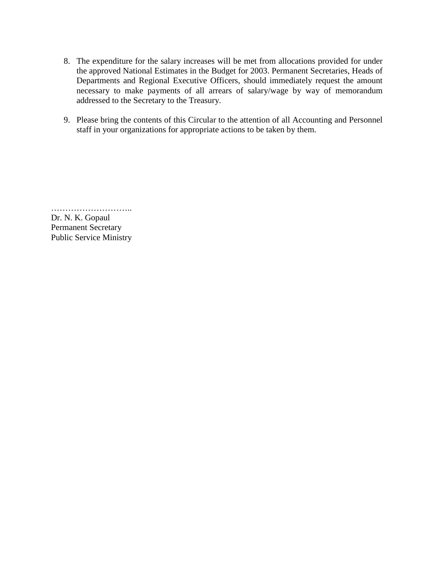- 8. The expenditure for the salary increases will be met from allocations provided for under the approved National Estimates in the Budget for 2003. Permanent Secretaries, Heads of Departments and Regional Executive Officers, should immediately request the amount necessary to make payments of all arrears of salary/wage by way of memorandum addressed to the Secretary to the Treasury.
- 9. Please bring the contents of this Circular to the attention of all Accounting and Personnel staff in your organizations for appropriate actions to be taken by them.

Dr. N. K. Gopaul Permanent Secretary Public Service Ministry

………………………..